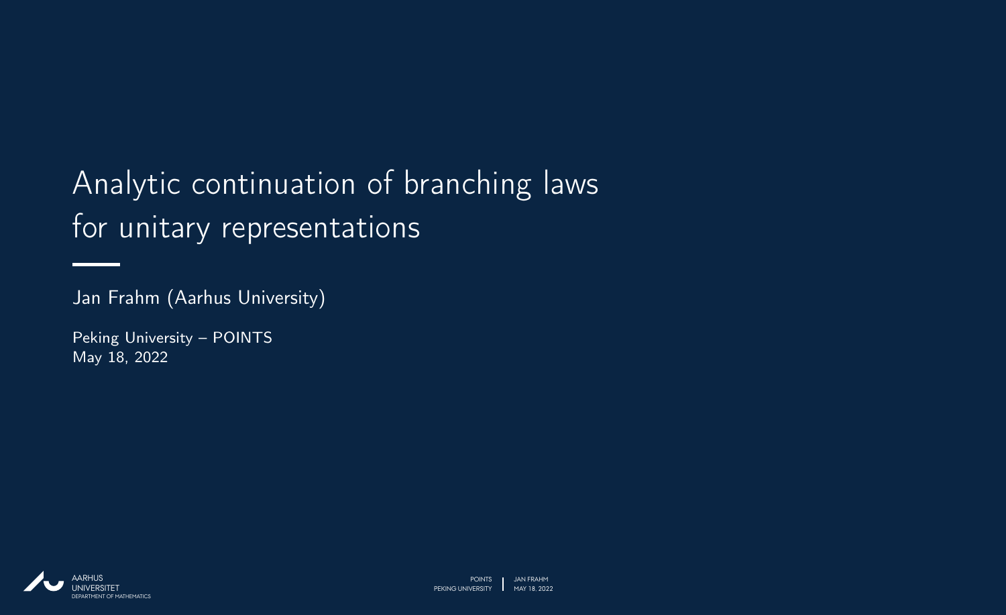### Analytic continuation of branching laws for unitary representations

Jan Frahm (Aarhus University)

Peking University – POINTS May 18, 2022

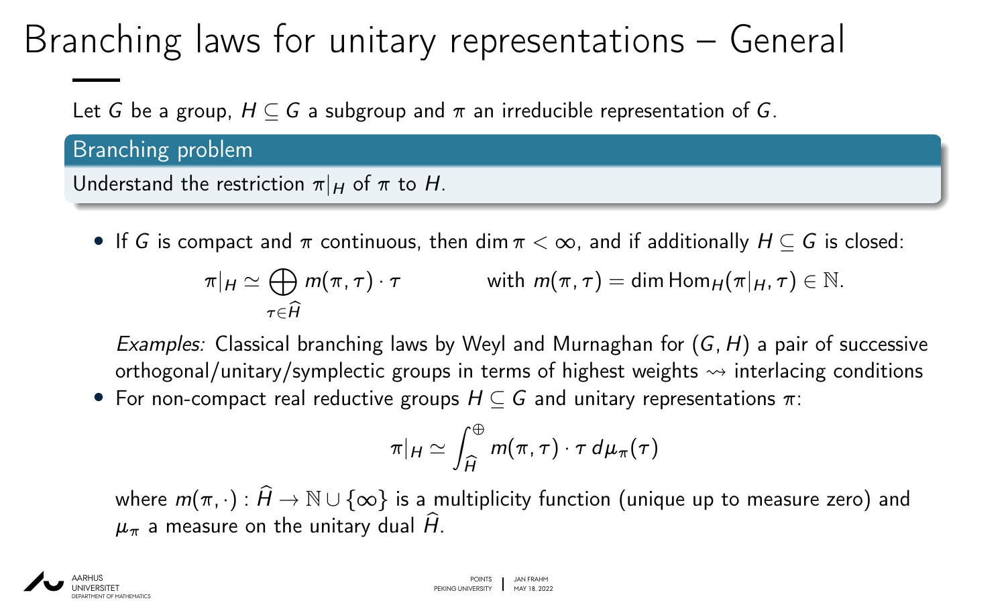## Branching laws for unitary representations – General

Let *G* be a group,  $H \subseteq G$  a subgroup and  $\pi$  an irreducible representation of *G*.

Branching problem

Understand the restriction  $\pi|_H$  of  $\pi$  to H.

• If *G* is compact and *ı* continuous, then dim *ı <* ∞, and if additionally *H* ⊆ *G* is closed:

 $\pi|_H \simeq \bigoplus m(\pi,\tau) \cdot \tau$  with  $m(\pi,\tau) = \dim \text{Hom}_H(\pi|_H,\tau) \in \mathbb{N}$ .  $\tau$ ∈ $\widehat{H}$ 

Examples: Classical branching laws by Weyl and Murnaghan for (*G; H*) a pair of successive orthogonal/unitary/symplectic groups in terms of highest weights  $\rightsquigarrow$  interlacing conditions

• For non-compact real reductive groups *H* ⊆ *G* and unitary representations *ı*:

$$
\pi|_H \simeq \int_{\widehat{H}}^{\oplus} m(\pi,\tau) \cdot \tau \, d\mu_{\pi}(\tau)
$$

where  $m(\pi,\cdot):\widehat{H}\to \mathbb{N}\cup\{\infty\}$  is a multiplicity function (unique up to measure zero) and  $\mu_{\pi}$  a measure on the unitary dual  $\hat{H}$ .

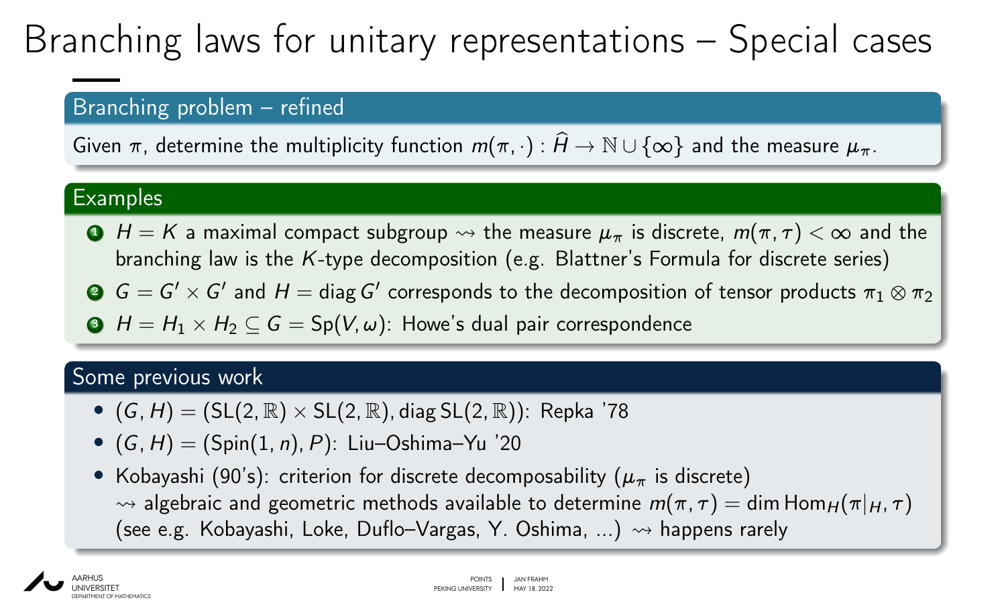## Branching laws for unitary representations – Special cases

### Branching problem – refined

Given  $\pi$ , determine the multiplicity function  $m(\pi, \cdot): \widehat{H} \to \mathbb{N} \cup \{\infty\}$  and the measure  $\mu_{\pi}$ .

#### **Examples**

- **1**  $H = K$  a maximal compact subgroup  $\rightsquigarrow$  the measure  $\mu_{\pi}$  is discrete,  $m(\pi, \tau) < \infty$  and the branching law is the *K*-type decomposition (e.g. Blattner's Formula for discrete series)
- $G=G'\times G'$  and  $H=$  diag  $G'$  corresponds to the decomposition of tensor products  $\pi_1\otimes\pi_2$
- $\bigodot$  *H* = *H*<sub>1</sub>  $\times$  *H*<sub>2</sub>  $\subseteq$  *G* = Sp(*V*,  $\omega$ ): Howe's dual pair correspondence

### Some previous work

- $(G, H) = (SL(2, \mathbb{R}) \times SL(2, \mathbb{R})$ , diag  $SL(2, \mathbb{R})$ ): Repka '78
- (*G; H*) = (Spin(1*; n*)*; P*): Liu–Oshima–Yu '20
- Kobayashi (90's): criterion for discrete decomposability ( $\mu_{\pi}$  is discrete)  $\rightarrow$  algebraic and geometric methods available to determine  $m(\pi, \tau) = \dim \text{Hom}_{H}(\pi|_{H}, \tau)$ (see e.g. Kobayashi, Loke, Duflo-Vargas, Y. Oshima, ...)  $\rightsquigarrow$  happens rarely

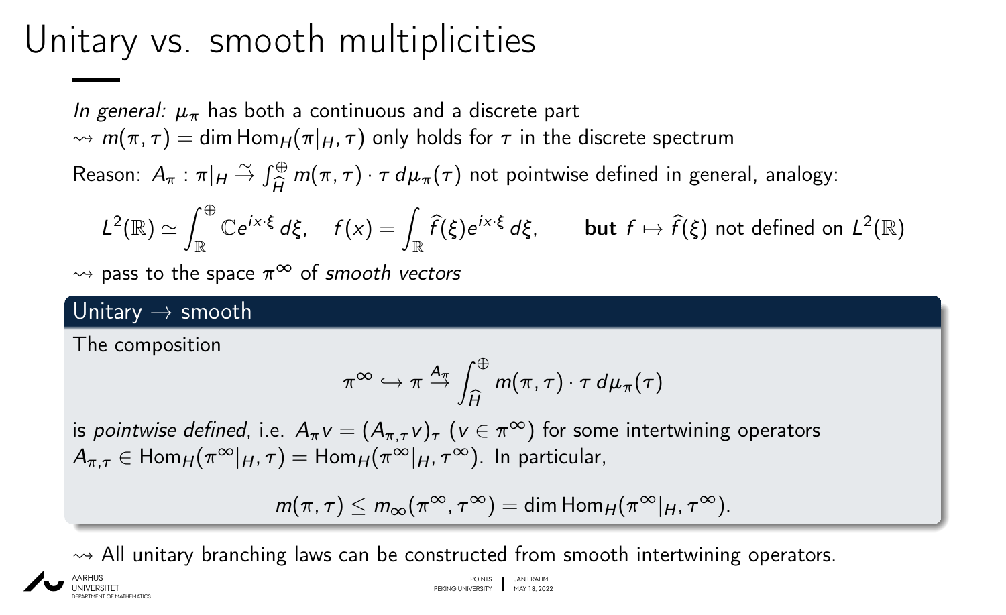### Unitary vs. smooth multiplicities

In general:  $\mu_{\pi}$  has both a continuous and a discrete part  $\rightarrow$  *m*( $\pi$ ,  $\tau$ ) = dim Hom<sub>*H*</sub>( $\pi$ |*H*,  $\tau$ ) only holds for  $\tau$  in the discrete spectrum

Reason:  $A_{\pi}$  :  $\pi|_H \stackrel{\sim}{\rightarrow} \int_{\widehat{H}}^{\oplus}$ *H*b  $m(\pi, \tau) \cdot \tau \, d\mu_{\pi}(\tau)$  not pointwise defined in general, analogy:

$$
L^2(\mathbb{R}) \simeq \int_{\mathbb{R}}^{\oplus} \mathbb{C} e^{ix\cdot\xi} d\xi, \quad f(x) = \int_{\mathbb{R}} \widehat{f}(\xi) e^{ix\cdot\xi} d\xi, \quad \text{but } f \mapsto \widehat{f}(\xi) \text{ not defined on } L^2(\mathbb{R})
$$

 $\rightarrow$  pass to the space  $\pi^{\infty}$  of smooth vectors

### Unitary  $\rightarrow$  smooth

The composition

$$
\pi^{\infty} \hookrightarrow \pi \stackrel{A_{\pi}}{\rightarrow} \int_{\widehat{H}}^{\oplus} m(\pi, \tau) \cdot \tau \, d\mu_{\pi}(\tau)
$$

is *pointwise defined*, i.e.  $A_\pi\mathbf{v}=(A_{\pi,\tau}\mathbf{v})_\tau$   $(\mathbf{v}\in\pi^\infty)$  for some intertwining operators  $A_{\pi \tau} \in \text{Hom}_{H}(\pi^{\infty}|_{H}, \tau) = \text{Hom}_{H}(\pi^{\infty}|_{H}, \tau^{\infty})$ . In particular,

$$
m(\pi,\tau)\leq m_\infty(\pi^\infty,\tau^\infty)=\dim\text{Hom}_H(\pi^\infty|_H,\tau^\infty).
$$

 $\rightarrow$  All unitary branching laws can be constructed from smooth intertwining operators.

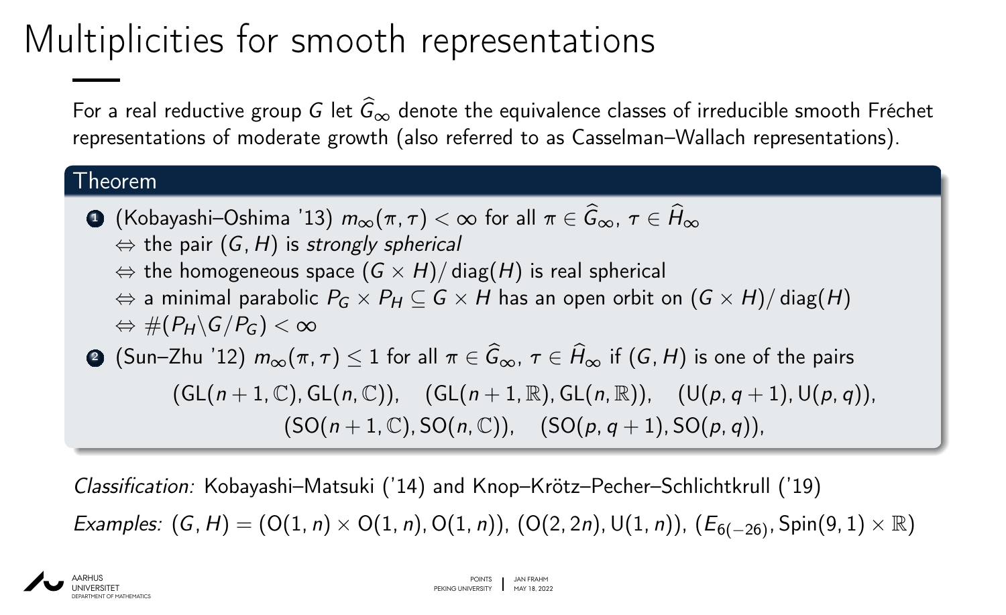## Multiplicities for smooth representations

For a real reductive group *G* let  $\hat{G}_{\infty}$  denote the equivalence classes of irreducible smooth Fréchet representations of moderate growth (also referred to as Casselman–Wallach representations).

#### Theorem

- <sup>1</sup> (Kobayashi–Oshima '13) *m*∞(*ı; fi*) *<* ∞ for all *ı* ∈ *G*b∞, *fi* ∈ *H*b<sup>∞</sup>  $\Leftrightarrow$  the pair  $(G, H)$  is strongly spherical
	- $\Leftrightarrow$  the homogeneous space  $(G \times H)/$  diag(*H*) is real spherical
	- $\Leftrightarrow$  a minimal parabolic  $P_G \times P_H \subseteq G \times H$  has an open orbit on  $(G \times H)/$  diag(*H*)  $\Leftrightarrow$  #( $P$ *H* $\setminus$ *G* $/P$ *G* $)$  < ∞

 $\bigodot$  (Sun–Zhu '12)  $m_{\infty}(\pi, \tau)$  < 1 for all  $\pi \in \widehat{G}_{\infty}, \tau \in \widehat{H}_{\infty}$  if (*G*, *H*) is one of the pairs  $(GL(n+1, \mathbb{C}), GL(n, \mathbb{C}))$ ;  $(GL(n+1, \mathbb{R}), GL(n, \mathbb{R}))$ ;  $(U(p, q+1), U(p, q))$ ;  $(SO(n+1, \mathbb{C}), SO(n, \mathbb{C}))$ ;  $(SO(p, q+1), SO(p, q))$ ;

Classification: Kobayashi–Matsuki ('14) and Knop–Krötz–Pecher–Schlichtkrull ('19) Examples:  $(G, H) = (O(1, n) \times O(1, n), O(1, n))$ ,  $(O(2, 2n), U(1, n))$ ,  $(E_{6(-26)}, Spin(9, 1) \times \mathbb{R})$ 

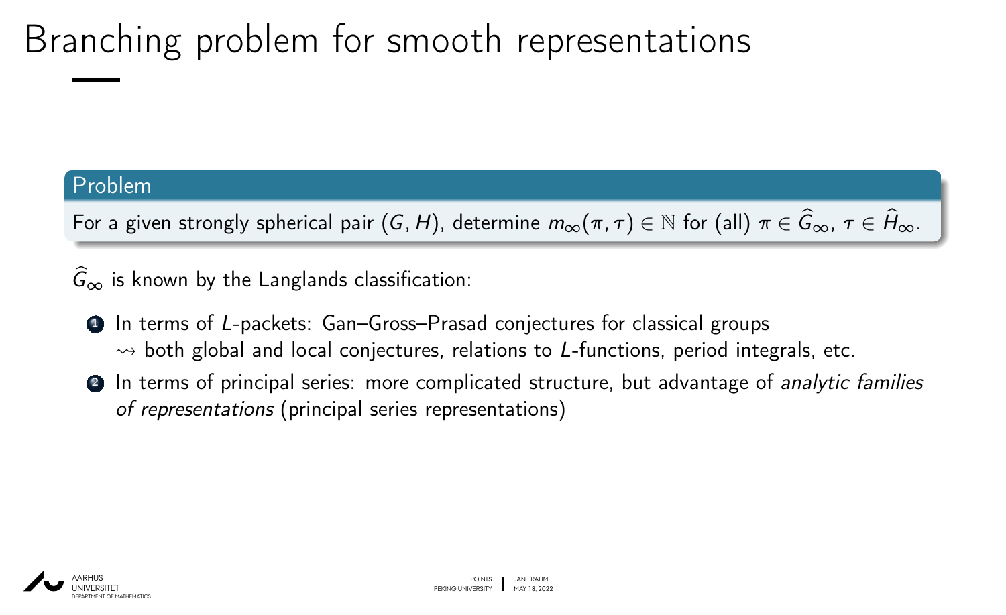# Branching problem for smooth representations

#### Problem

For a given strongly spherical pair  $(G, H)$ , determine  $m_{\infty}(\pi, \tau) \in \mathbb{N}$  for (all)  $\pi \in \widehat{G}_{\infty}, \tau \in \widehat{H}_{\infty}$ .

 $\ddot{G}_{\infty}$  is known by the Langlands classification:

- <sup>1</sup> In terms of *L*-packets: Gan–Gross–Prasad conjectures for classical groups  $\rightarrow$  both global and local conjectures, relations to *L*-functions, period integrals, etc.
- **2** In terms of principal series: more complicated structure, but advantage of *analytic families* of representations (principal series representations)

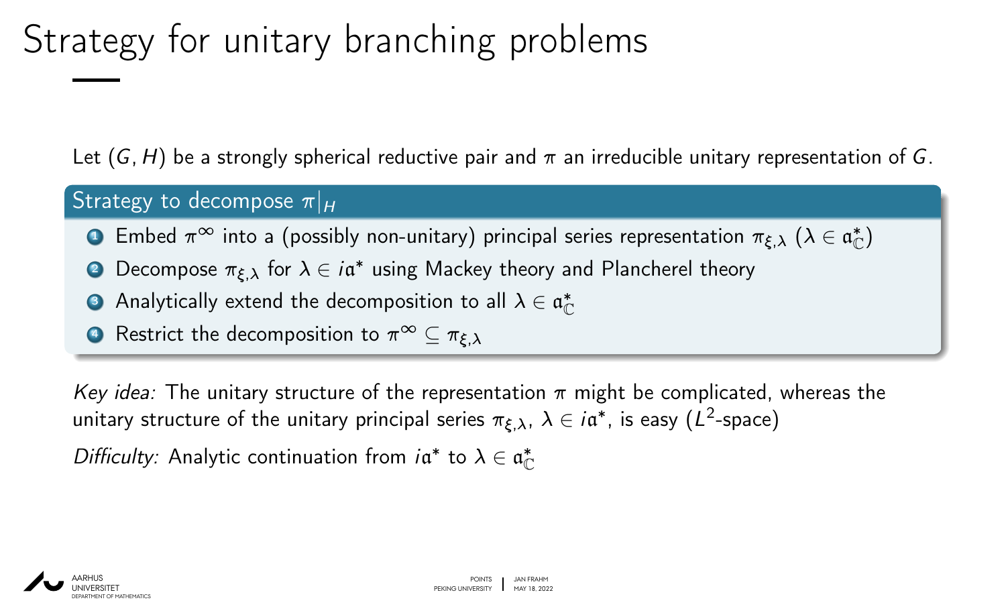# Strategy for unitary branching problems

Let  $(G, H)$  be a strongly spherical reductive pair and  $\pi$  an irreducible unitary representation of *G*.

#### Strategy to decompose  $\pi|_H$

- $\bullet$  Embed  $\pi^\infty$  into a (possibly non-unitary) principal series representation  $\pi_{\xi,\lambda} \; (\lambda \in \mathfrak{a}^*_\mathbb{C})$
- 2 Decompose  $\pi_{\xi,\lambda}$  for  $\lambda \in i$ α\* using Mackey theory and Plancherel theory
- **•** Analytically extend the decomposition to all  $\lambda \in \mathfrak{a}^*_\mathbb{C}$
- $\bullet$  Restrict the decomposition to  $\pi^\infty$  ⊆  $\pi_{\varepsilon,\lambda}$

Key idea: The unitary structure of the representation  $\pi$  might be complicated, whereas the unitary structure of the unitary principal series  $\pi_{\xi,\lambda},\ \lambda\in i\mathfrak{a}^*$ , is easy  $(L^2\text{-space})$ 

Difficulty: Analytic continuation from  $i\mathfrak{a}^*$  to  $\lambda \in \mathfrak{a}_\mathbb{C}^*$ 

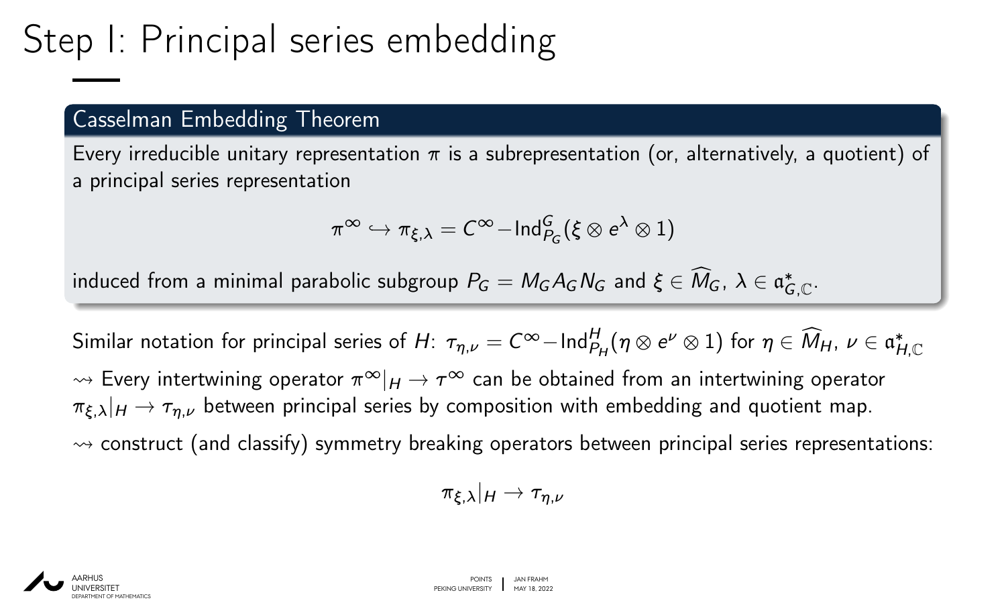## Step I: Principal series embedding

### Casselman Embedding Theorem

Every irreducible unitary representation  $\pi$  is a subrepresentation (or, alternatively, a quotient) of a principal series representation

$$
\pi^\infty \hookrightarrow \pi_{\xi,\lambda} = \mathcal{C}^\infty{-}\mathsf{Ind}_{P_G}^G(\xi \otimes e^\lambda \otimes 1)
$$

induced from a minimal parabolic subgroup  $P_G=M_GA_GN_G$  and  $\xi\in \widehat{M}_G$ ,  $\lambda\in \mathfrak{a}_{G,\mathbb{C}}^*$ .

 $S$ imilar notation for principal series of *H*:  $\tau_{\eta,\nu}=C^\infty-\text{\rm Ind}_{P_H}^H(\eta\otimes e^\nu\otimes 1)$  for  $\eta\in \widehat{M}_H, \, \nu\in \mathfrak{a}_{H,\mathbb{C}}^*$  $\rightsquigarrow$  Every intertwining operator  $\pi^{\infty}|_H \to \tau^{\infty}$  can be obtained from an intertwining operator  $\pi_{\xi,\lambda}|_H \to \tau_{\eta,\nu}$  between principal series by composition with embedding and quotient map.  $\rightsquigarrow$  construct (and classify) symmetry breaking operators between principal series representations:

$$
\pi_{\xi,\lambda}|_H\to \tau_{\eta,\nu}
$$

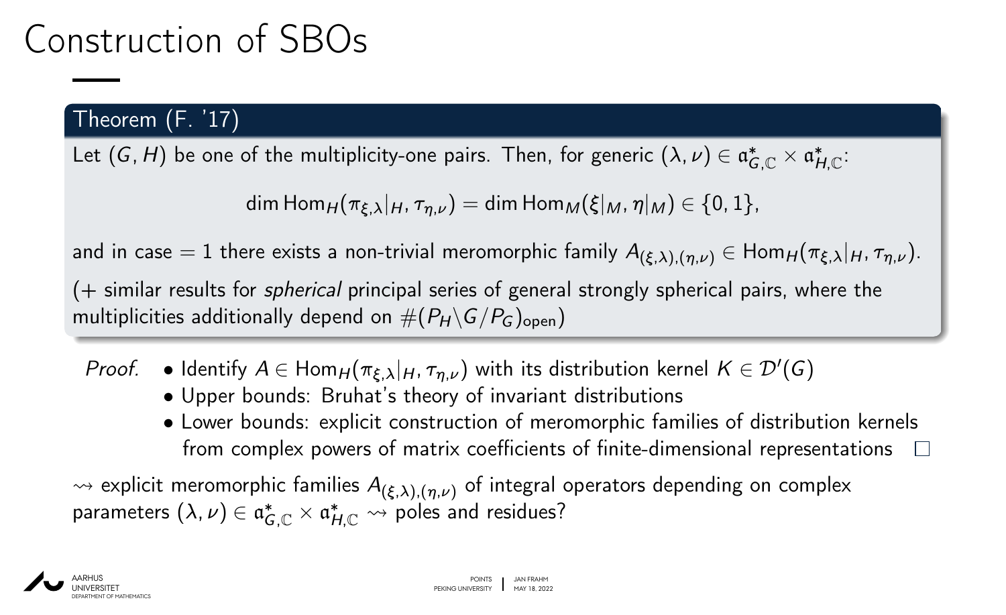### Construction of SBOs

### Theorem (F. '17)

Let  $(G, H)$  be one of the multiplicity-one pairs. Then, for generic  $(\lambda, \nu) \in \mathfrak{a}_{G, \mathbb{C}}^* \times \mathfrak{a}_{H, \mathbb{C}}^*$ :

$$
\dim \text{Hom}_{H}(\pi_{\xi,\lambda}|_{H},\tau_{\eta,\nu}) = \dim \text{Hom}_{M}(\xi|_{M},\eta|_{M}) \in \{0,1\},
$$

and in case = 1 there exists a non-trivial meromorphic family  $A_{(\xi,\lambda),(n,\nu)} \in \text{Hom}_H(\pi_{\xi,\lambda}|_H, \tau_{n,\nu}).$ 

(+ similar results for spherical principal series of general strongly spherical pairs, where the multiplicities additionally depend on  $#(P_H\backslash G/P_G)_{\text{open}})$ 

- *Proof.* Identify  $A \in \text{Hom}_H(\pi_{\xi,\lambda}|_H, \pi_{\eta,\nu})$  with its distribution kernel  $K \in \mathcal{D}'(G)$ 
	- Upper bounds: Bruhat's theory of invariant distributions
	- Lower bounds: explicit construction of meromorphic families of distribution kernels from complex powers of matrix coefficients of finite-dimensional representations  $\Box$

 $\rightsquigarrow$  explicit meromorphic families  $A_{(\xi,\lambda),(n,\nu)}$  of integral operators depending on complex parameters  $(\lambda, \nu) \in \mathfrak{a}_{G,\mathbb{C}}^* \times \mathfrak{a}_{H,\mathbb{C}}^* \rightsquigarrow \text{poles}$  and residues?

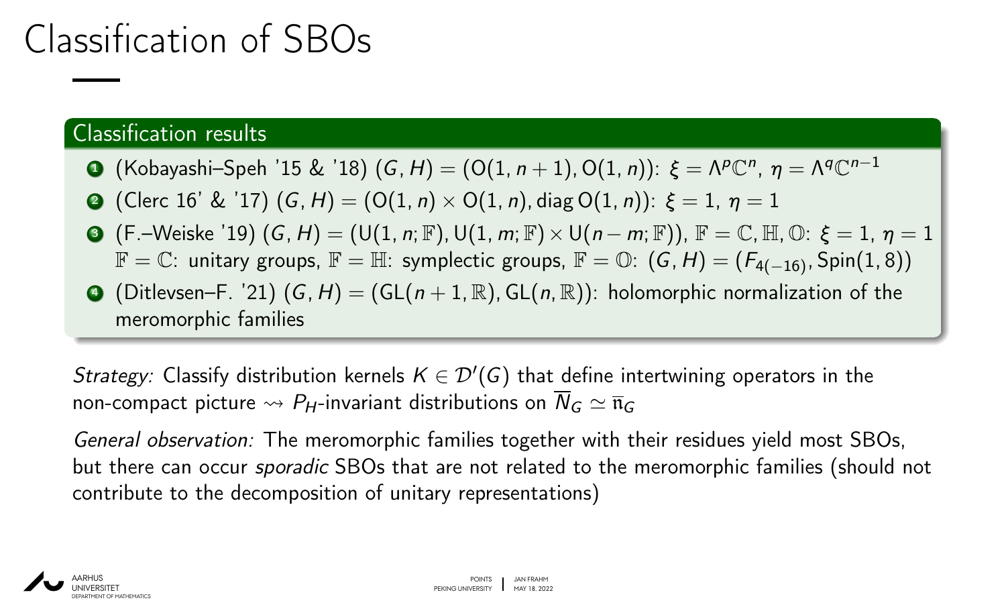### Classification of SBOs

### Classification results

- $\bullet$  (Kobayashi–Speh '15 & '18) (*G*, *H*) = (O(1, *n* + 1), O(1, *n*)):  $\xi = \Lambda^p \mathbb{C}^n$ ,  $\eta = \Lambda^q \mathbb{C}^{n-1}$
- (Clerc 16' & '17)  $(G, H) = (O(1, n) \times O(1, n), diag O(1, n))$ :  $ξ = 1, η = 1$
- **③**  $(F.-\text{Weiske '19)} (G,H) = (U(1, n; \mathbb{F}), U(1, m; \mathbb{F}) \times U(n-m; \mathbb{F})), \mathbb{F} = \mathbb{C}, \mathbb{H}, \mathbb{O}: \xi = 1, \eta = 1$  $\mathbb{F} = \mathbb{C}$ : unitary groups,  $\mathbb{F} = \mathbb{H}$ : symplectic groups,  $\mathbb{F} = \mathbb{O}$ : (*G*, *H*) = (*F*<sub>4(−16)</sub>, Spin(1, 8))
- $\bigodot$  (Ditlevsen–F. '21)  $(G, H) = (GL(n+1, \mathbb{R}), GL(n, \mathbb{R}))$ : holomorphic normalization of the meromorphic families

Strategy: Classify distribution kernels  $K \in \mathcal{D}'(G)$  that define intertwining operators in the non-compact picture  $\leadsto P_H$ -invariant distributions on  $\overline{N}_G \simeq \overline{\mathfrak{n}}_G$ 

General observation: The meromorphic families together with their residues yield most SBOs, but there can occur sporadic SBOs that are not related to the meromorphic families (should not contribute to the decomposition of unitary representations)

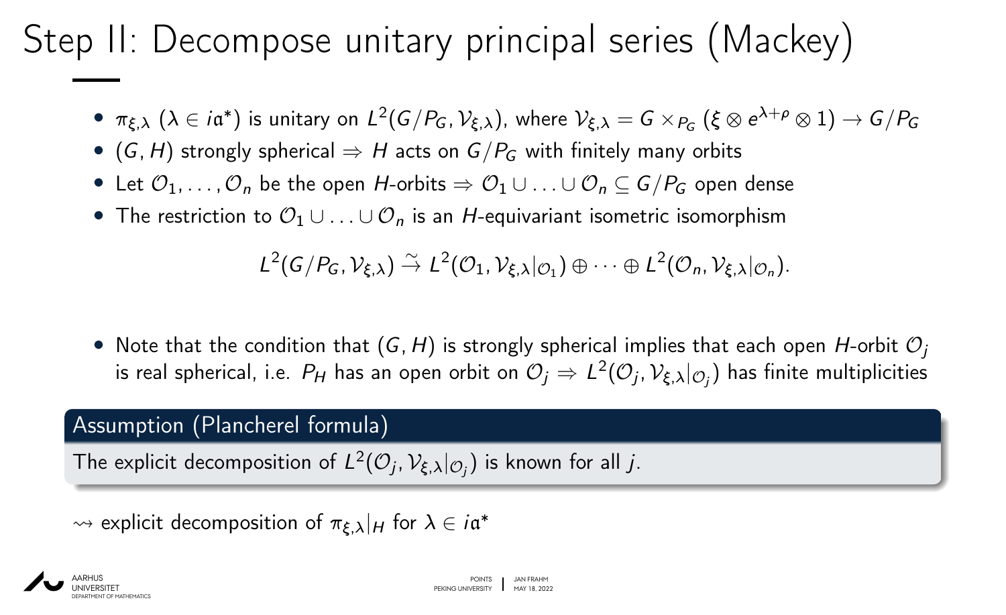## Step II: Decompose unitary principal series (Mackey)

- $\bullet$   $\pi_{\xi,\lambda}$   $(\lambda \in i\mathfrak{a}^*)$  is unitary on  $L^2(G/P_G,\mathcal{V}_{\xi,\lambda})$ , where  $\mathcal{V}_{\xi,\lambda}=G\times_{P_G}(\xi\otimes e^{\lambda+\rho}\otimes 1)\to G/P_G$
- (*G*, *H*) strongly spherical  $\Rightarrow$  *H* acts on *G*/*P<sub>G</sub>* with finitely many orbits
- Let  $\mathcal{O}_1, \ldots, \mathcal{O}_n$  be the open *H*-orbits  $\Rightarrow \mathcal{O}_1 \cup \ldots \cup \mathcal{O}_n \subseteq G/P_G$  open dense
- The restriction to O<sup>1</sup> ∪ *: : :* ∪ O*<sup>n</sup>* is an *H*-equivariant isometric isomorphism

$$
L^2(G/P_G,\mathcal{V}_{\xi,\lambda}) \stackrel{\sim}{\to} L^2(\mathcal{O}_1,\mathcal{V}_{\xi,\lambda}|_{\mathcal{O}_1}) \oplus \cdots \oplus L^2(\mathcal{O}_n,\mathcal{V}_{\xi,\lambda}|_{\mathcal{O}_n}).
$$

• Note that the condition that  $(G, H)$  is strongly spherical implies that each open *H*-orbit  $\mathcal{O}_i$ is real spherical, i.e.  $P_H$  has an open orbit on  $\mathcal{O}_j \Rightarrow L^2(\mathcal{O}_j,\mathcal{V}_{\xi,\lambda}|_{\mathcal{O}_j})$  has finite multiplicities

#### Assumption (Plancherel formula)

The explicit decomposition of  $L^2(\mathcal{O}_j,\mathcal{V}_{\xi,\lambda}|_{\mathcal{O}_j})$  is known for all *j*.

 $\rightarrow$  explicit decomposition of  $\pi_{\xi,\lambda}|_H$  for  $\lambda \in i$ α<sup>\*</sup>

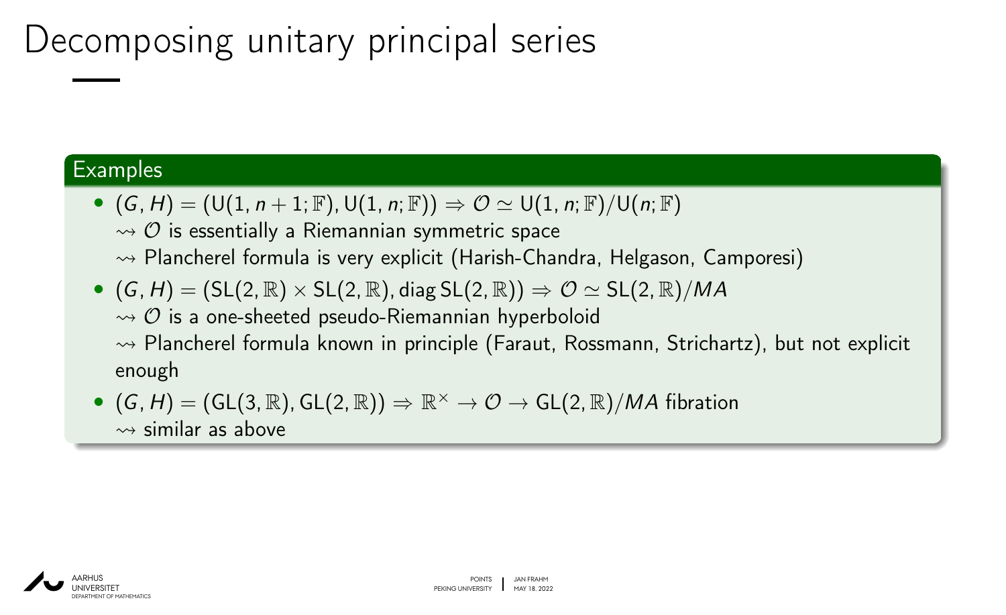## Decomposing unitary principal series

#### **Examples**

- $(G, H) = (\mathsf{U}(1, n+1; \mathbb{F}), \mathsf{U}(1, n; \mathbb{F})) \Rightarrow \mathcal{O} \simeq \mathsf{U}(1, n; \mathbb{F})/\mathsf{U}(n; \mathbb{F})$  $\rightarrow$   $\circ$  is essentially a Riemannian symmetric space
	- $\rightarrow$  Plancherel formula is very explicit (Harish-Chandra, Helgason, Camporesi)
- $(G, H) = (SL(2, \mathbb{R}) \times SL(2, \mathbb{R})$ , diag  $SL(2, \mathbb{R}) \Rightarrow \mathcal{O} \simeq SL(2, \mathbb{R})/MA$  $\rightarrow$   $\circ$  is a one-sheeted pseudo-Riemannian hyperboloid  $\rightarrow$  Plancherel formula known in principle (Faraut, Rossmann, Strichartz), but not explicit enough
- $(G, H) = (GL(3, \mathbb{R}), GL(2, \mathbb{R})) \Rightarrow \mathbb{R}^{\times} \to \mathcal{O} \to GL(2, \mathbb{R})/MA$  fibration  $\rightarrow$  similar as above

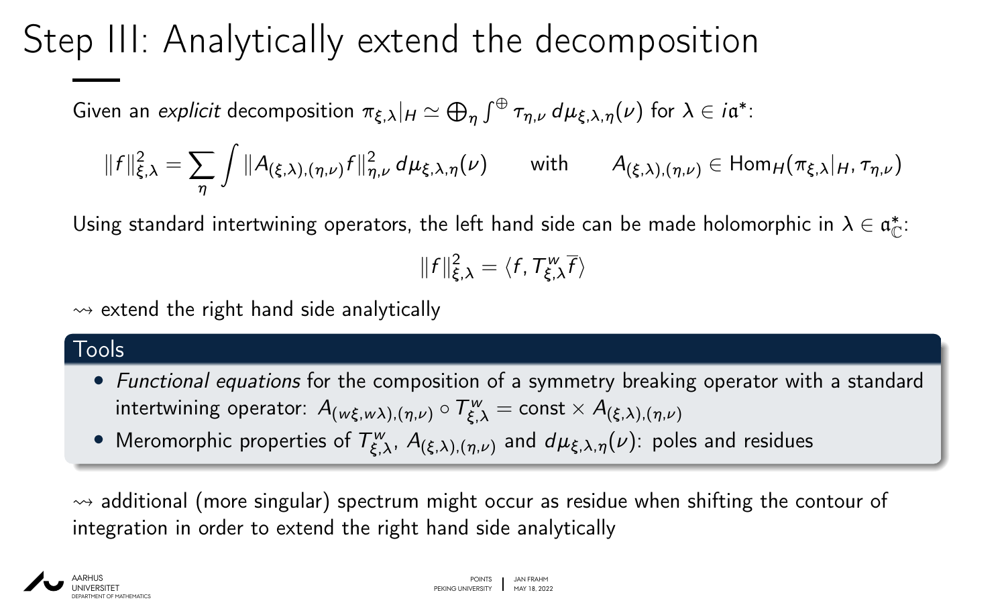## Step III: Analytically extend the decomposition

Given an *explicit* decomposition  $\pi_{\xi,\lambda}|_H \simeq \bigoplus_{\eta} \int^{\oplus} \tau_{\eta,\nu} \, d\mu_{\xi,\lambda,\eta}(\nu)$  for  $\lambda \in i\mathfrak{a}^*.$ 

$$
||f||_{\xi,\lambda}^2 = \sum_{\eta} \int ||A_{(\xi,\lambda),(\eta,\nu)}f||_{\eta,\nu}^2 d\mu_{\xi,\lambda,\eta}(\nu) \quad \text{with} \quad A_{(\xi,\lambda),(\eta,\nu)} \in \text{Hom}_H(\pi_{\xi,\lambda}|_H, \tau_{\eta,\nu})
$$

Using standard intertwining operators, the left hand side can be made holomorphic in  $\lambda \in \mathfrak{a}^*_{\mathbb{C}}$ :

$$
||f||_{\xi,\lambda}^2 = \langle f, T_{\xi,\lambda}^w \overline{f} \rangle
$$

 $\rightarrow$  extend the right hand side analytically

### Tools

- Functional equations for the composition of a symmetry breaking operator with a standard  $\int$  intertwining operator:  $A_{(w\xi,w\lambda),(\eta,\nu)} \circ T^w_{\xi,\lambda} = \text{const} \times A_{(\xi,\lambda),(\eta,\nu)}$
- Meromorphic properties of  $T^w_{\xi,\lambda}$ ,  $A_{(\xi,\lambda),(\eta,\nu)}$  and  $d\mu_{\xi,\lambda,\eta}(\nu)$ : poles and residues

 $\rightarrow$  additional (more singular) spectrum might occur as residue when shifting the contour of integration in order to extend the right hand side analytically

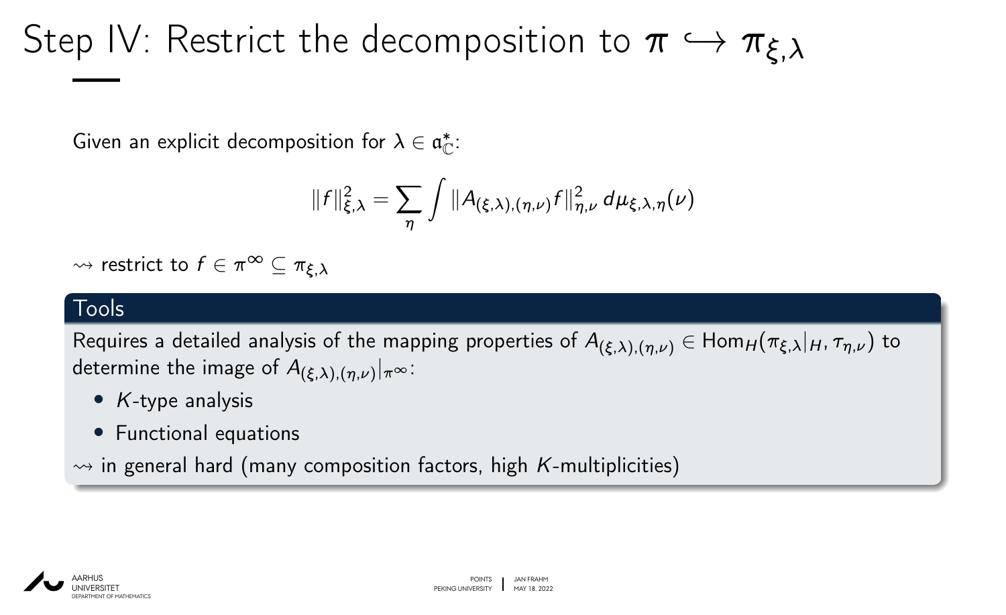# Step IV: Restrict the decomposition to  $\pi \hookrightarrow \pi_{\xi,\lambda}$

Given an explicit decomposition for  $\lambda \in \mathfrak{a}^*_{{\mathbb C}}$ :

$$
||f||_{\xi,\lambda}^2 = \sum_{\eta} \int ||A_{(\xi,\lambda),(\eta,\nu)}f||_{\eta,\nu}^2 d\mu_{\xi,\lambda,\eta}(\nu)
$$

 $\rightarrow$  restrict to  $f \in \pi^{\infty} \subset \pi_{\xi, \lambda}$ 

### Tools

Requires a detailed analysis of the mapping properties of  $A_{(\xi,\lambda),(n,\nu)} \in \text{Hom}_H(\pi_{\xi,\lambda}|_H,\tau_{n,\nu})$  to determine the image of  $A_{(\xi,\lambda),(\eta,\nu)}|_{\pi^\infty}$ :

- *K*-type analysis
- Functional equations

 $\rightarrow$  in general hard (many composition factors, high *K*-multiplicities)

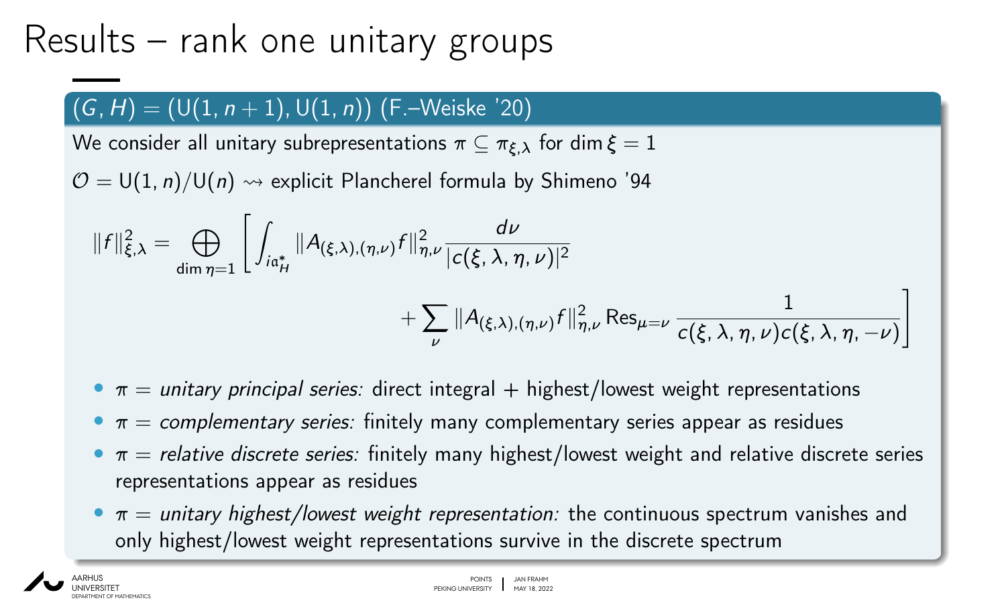### Results – rank one unitary groups

### $(G, H) = (U(1, n + 1), U(1, n))$  (F.–Weiske '20)

We consider all unitary subrepresentations  $\pi \subseteq \pi_{\xi,\lambda}$  for dim  $\xi = 1$ 

 $\mathcal{O} = U(1, n)/U(n) \rightsquigarrow$  explicit Plancherel formula by Shimeno '94

$$
||f||_{\xi,\lambda}^{2} = \bigoplus_{\dim \eta=1} \left[ \int_{i\mathfrak{a}_{H}^{*}} ||A_{(\xi,\lambda),(\eta,\nu)}f||_{\eta,\nu}^{2} \frac{d\nu}{|c(\xi,\lambda,\eta,\nu)|^{2}} + \sum_{\nu} ||A_{(\xi,\lambda),(\eta,\nu)}f||_{\eta,\nu}^{2} \operatorname{Res}_{\mu=\nu} \frac{1}{c(\xi,\lambda,\eta,\nu)c(\xi,\lambda,\eta,-\nu)} \right]
$$

- $\pi$  = unitary principal series: direct integral + highest/lowest weight representations
- $\bullet \pi =$  complementary series: finitely many complementary series appear as residues
- $\bullet \pi$  = relative discrete series: finitely many highest/lowest weight and relative discrete series representations appear as residues
- $\bullet \pi =$  unitary highest/lowest weight representation: the continuous spectrum vanishes and only highest/lowest weight representations survive in the discrete spectrum

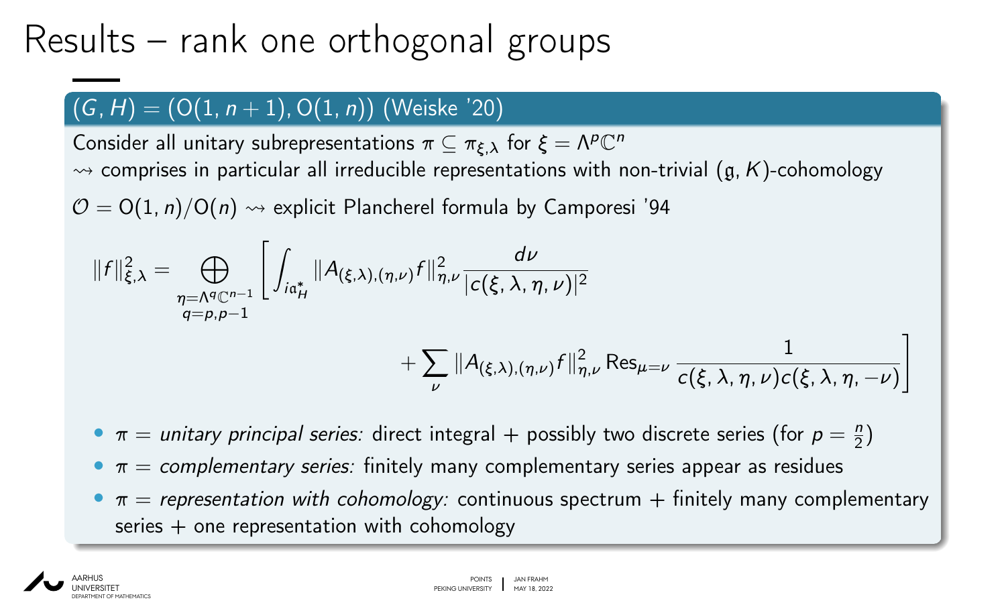## Results – rank one orthogonal groups

### (*G; H*) = (O(1*; n* + 1)*;* O(1*; n*)) (Weiske '20)

Consider all unitary subrepresentations  $\pi \subseteq \pi_{\xi,\lambda}$  for  $\xi = \Lambda^p \mathbb{C}^n$  $\rightarrow$  comprises in particular all irreducible representations with non-trivial ( $g, K$ )-cohomology

 $\mathcal{O} = O(1, n)/O(n) \rightsquigarrow$  explicit Plancherel formula by Camporesi '94

$$
||f||_{\xi,\lambda}^{2} = \bigoplus_{\substack{\eta = \Lambda^{q} \mathbb{C}^{n-1} \\ q = p, p-1}} \left[ \int_{i\mathfrak{a}_{H}^{*}} ||A_{(\xi,\lambda),(\eta,\nu)} f||_{\eta,\nu}^{2} \frac{d\nu}{|c(\xi,\lambda,\eta,\nu)|^{2}} + \sum_{\nu} ||A_{(\xi,\lambda),(\eta,\nu)} f||_{\eta,\nu}^{2} \operatorname{Res}_{\mu=\nu} \frac{1}{c(\xi,\lambda,\eta,\nu)c(\xi,\lambda,\eta,-\nu)} \right]
$$

•  $\pi$  = unitary principal series: direct integral + possibly two discrete series (for  $p = \frac{n}{2}$  $\frac{n}{2}$ 

 $\sigma = \pi$  = complementary series: finitely many complementary series appear as residues

 $\overline{\nu}$ 

•  $\pi$  = representation with cohomology: continuous spectrum  $+$  finitely many complementary  $series + one representation with cohomology$ 

1

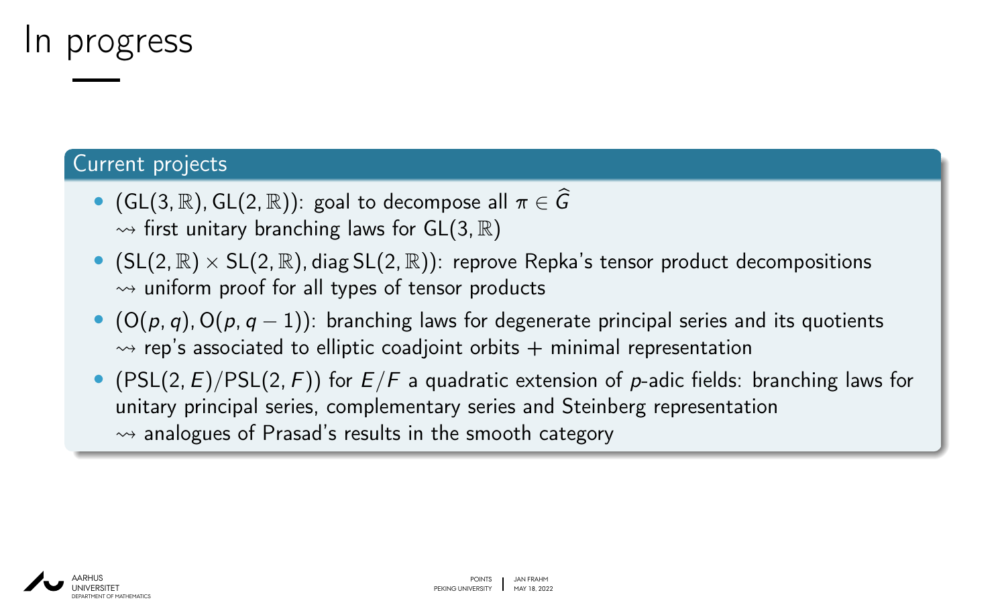### In progress

### Current projects

- (GL(3, R), GL(2, R)): goal to decompose all  $\pi \in \widehat{G}$  $\rightarrow$  first unitary branching laws for GL(3, R)
- (SL(2*;* R) × SL(2*;* R)*;* diag SL(2*;* R)): reprove Repka's tensor product decompositions  $\rightarrow$  uniform proof for all types of tensor products
- (O(*p; q*)*;* O(*p; q* − 1)): branching laws for degenerate principal series and its quotients  $\rightarrow$  rep's associated to elliptic coadjoint orbits  $+$  minimal representation
- (PSL(2, E)/PSL(2, F)) for  $E/F$  a quadratic extension of p-adic fields: branching laws for unitary principal series, complementary series and Steinberg representation  $\rightarrow$  analogues of Prasad's results in the smooth category